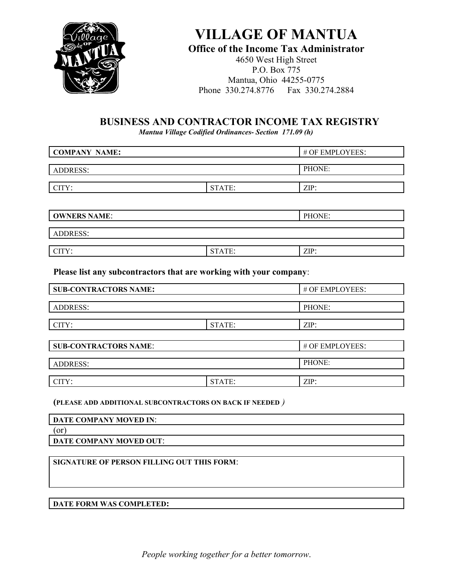

# **VILLAGE OF MANTUA**

### **Office of the Income Tax Administrator**

4650 West High Street P.O. Box 775 Mantua, Ohio 44255-0775 Phone 330.274.8776 Fax 330.274.2884

## **BUSINESS AND CONTRACTOR INCOME TAX REGISTRY**

*Mantua Village Codified Ordinances- Section 171.09 (h)*

| <b>COMPANY NAME:</b> |        | # OF EMPLOYEES: |
|----------------------|--------|-----------------|
|                      |        |                 |
| <b>ADDRESS:</b>      |        | PHONE:          |
|                      |        |                 |
| CITY:                | STATE: | $ZIP$ :         |
|                      |        |                 |
| <b>OWNERS NAME:</b>  |        | PHONE:          |
|                      |        |                 |
| <b>ADDRESS:</b>      |        |                 |
|                      |        |                 |
| CITY:                | STATE: | ZIP:            |

**Please list any subcontractors that are working with your company**:

| <b>SUB-CONTRACTORS NAME:</b> |        | # OF EMPLOYEES: |
|------------------------------|--------|-----------------|
|                              |        |                 |
| <b>ADDRESS:</b>              |        | PHONE:          |
|                              |        |                 |
| CITY:                        | STATE: | $ZIP$ :         |
|                              |        |                 |
| <b>SUB-CONTRACTORS NAME:</b> |        | # OF EMPLOYEES: |
|                              |        |                 |
| <b>ADDRESS:</b>              |        | PHONE:          |
|                              |        |                 |
| CITY:                        | STATE: | $ZIP$ :         |

#### **(PLEASE ADD ADDITIONAL SUBCONTRACTORS ON BACK IF NEEDED** *)*

| DATE COMPANY MOVED IN:  |  |
|-------------------------|--|
| (or                     |  |
| DATE COMPANY MOVED OUT: |  |
|                         |  |

#### **SIGNATURE OF PERSON FILLING OUT THIS FORM**:

**DATE FORM WAS COMPLETED:**